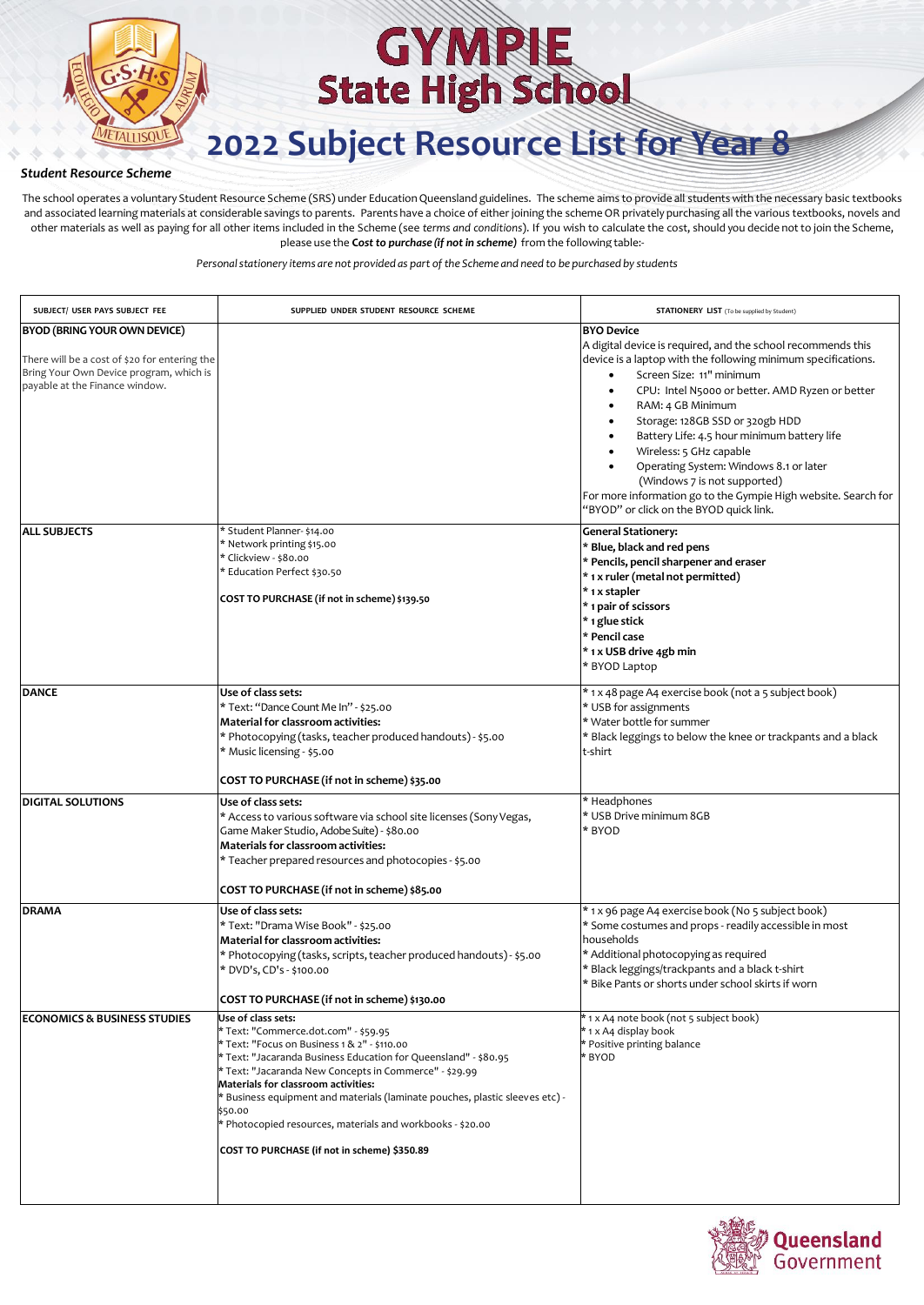

**2022 Subject Resource List for Year 8**

### *Student Resource Scheme*

The school operates a voluntary Student Resource Scheme (SRS) under Education Queensland guidelines. The scheme aims to provide all students with the necessary basic textbooks and associated learning materials at considerable savings to parents. Parents have a choice of either joining the scheme OR privately purchasing all the various textbooks, novels and other materials as well as paying for all other items included in the Scheme (see *terms and conditions*). If you wish to calculate the cost, should you decide not to join the Scheme, please use the **C***ost to purchase (if not in scheme)* from the following table:-

| SUBJECT/ USER PAYS SUBJECT FEE                                                                                                                             | SUPPLIED UNDER STUDENT RESOURCE SCHEME                                                                                                                                                                                                                                                                                                                                                                                                                                                  | <b>STATIONERY LIST</b> (To be supplied by Student)                                                                                                                                                                                                                                                                                                                                                                                                                                                                                                                                   |
|------------------------------------------------------------------------------------------------------------------------------------------------------------|-----------------------------------------------------------------------------------------------------------------------------------------------------------------------------------------------------------------------------------------------------------------------------------------------------------------------------------------------------------------------------------------------------------------------------------------------------------------------------------------|--------------------------------------------------------------------------------------------------------------------------------------------------------------------------------------------------------------------------------------------------------------------------------------------------------------------------------------------------------------------------------------------------------------------------------------------------------------------------------------------------------------------------------------------------------------------------------------|
| BYOD (BRING YOUR OWN DEVICE)<br>There will be a cost of \$20 for entering the<br>Bring Your Own Device program, which is<br>payable at the Finance window. |                                                                                                                                                                                                                                                                                                                                                                                                                                                                                         | <b>BYO Device</b><br>A digital device is required, and the school recommends this<br>device is a laptop with the following minimum specifications.<br>Screen Size: 11" minimum<br>$\bullet$<br>CPU: Intel N5000 or better. AMD Ryzen or better<br>RAM: 4 GB Minimum<br>$\bullet$<br>Storage: 128GB SSD or 320gb HDD<br>Battery Life: 4.5 hour minimum battery life<br>Wireless: 5 GHz capable<br>Operating System: Windows 8.1 or later<br>(Windows 7 is not supported)<br>For more information go to the Gympie High website. Search for<br>"BYOD" or click on the BYOD quick link. |
| <b>ALL SUBJECTS</b>                                                                                                                                        | * Student Planner- \$14.00<br>* Network printing \$15.00<br>* Clickview - \$80.00<br>* Education Perfect \$30.50<br>COST TO PURCHASE (if not in scheme) \$139.50                                                                                                                                                                                                                                                                                                                        | <b>General Stationery:</b><br>* Blue, black and red pens<br>* Pencils, pencil sharpener and eraser<br>* 1 x ruler (metal not permitted)<br>* 1 x stapler<br>* 1 pair of scissors<br>* 1 glue stick<br>* Pencil case<br>* 1 x USB drive 4gb min<br>* BYOD Laptop                                                                                                                                                                                                                                                                                                                      |
| <b>DANCE</b>                                                                                                                                               | Use of class sets:<br>* Text: "Dance Count Me In" - \$25.00<br>Material for classroom activities:<br>* Photocopying (tasks, teacher produced handouts) - \$5.00<br>* Music licensing - \$5.00<br>COST TO PURCHASE (if not in scheme) \$35.00                                                                                                                                                                                                                                            | * 1 x 48 page A4 exercise book (not a 5 subject book)<br>* USB for assignments<br>* Water bottle for summer<br>* Black leggings to below the knee or trackpants and a black<br>t-shirt                                                                                                                                                                                                                                                                                                                                                                                               |
| <b>DIGITAL SOLUTIONS</b>                                                                                                                                   | Use of class sets:<br>* Access to various software via school site licenses (Sony Vegas,<br>Game Maker Studio, Adobe Suite) - \$80.00<br>Materials for classroom activities:<br>* Teacher prepared resources and photocopies - \$5.00<br>COST TO PURCHASE (if not in scheme) \$85.00                                                                                                                                                                                                    | * Headphones<br>* USB Drive minimum 8GB<br>* BYOD                                                                                                                                                                                                                                                                                                                                                                                                                                                                                                                                    |
| <b>DRAMA</b>                                                                                                                                               | Use of class sets:<br>* Text: "Drama Wise Book" - \$25.00<br>Material for classroom activities:<br>* Photocopying (tasks, scripts, teacher produced handouts) - \$5.00<br>* DVD's, CD's - \$100.00<br>COST TO PURCHASE (if not in scheme) \$130.00                                                                                                                                                                                                                                      | * 1 x 96 page A4 exercise book (No 5 subject book)<br>* Some costumes and props - readily accessible in most<br>households<br>* Additional photocopying as required<br>* Black leggings/trackpants and a black t-shirt<br>* Bike Pants or shorts under school skirts if worn                                                                                                                                                                                                                                                                                                         |
| <b>ECONOMICS &amp; BUSINESS STUDIES</b>                                                                                                                    | Use of class sets:<br>* Text: "Commerce.dot.com" - \$59.95<br>* Text: "Focus on Business 1 & 2" - \$110.00<br>* Text: "Jacaranda Business Education for Queensland" - \$80.95<br>* Text: "Jacaranda New Concepts in Commerce" - \$29.99<br>Materials for classroom activities:<br>* Business equipment and materials (laminate pouches, plastic sleeves etc) -<br>\$50.00<br>* Photocopied resources, materials and workbooks - \$20.00<br>COST TO PURCHASE (if not in scheme) \$350.89 | * 1 x A4 note book (not 5 subject book)<br>* 1 x A4 display book<br>* Positive printing balance<br>* BYOD                                                                                                                                                                                                                                                                                                                                                                                                                                                                            |

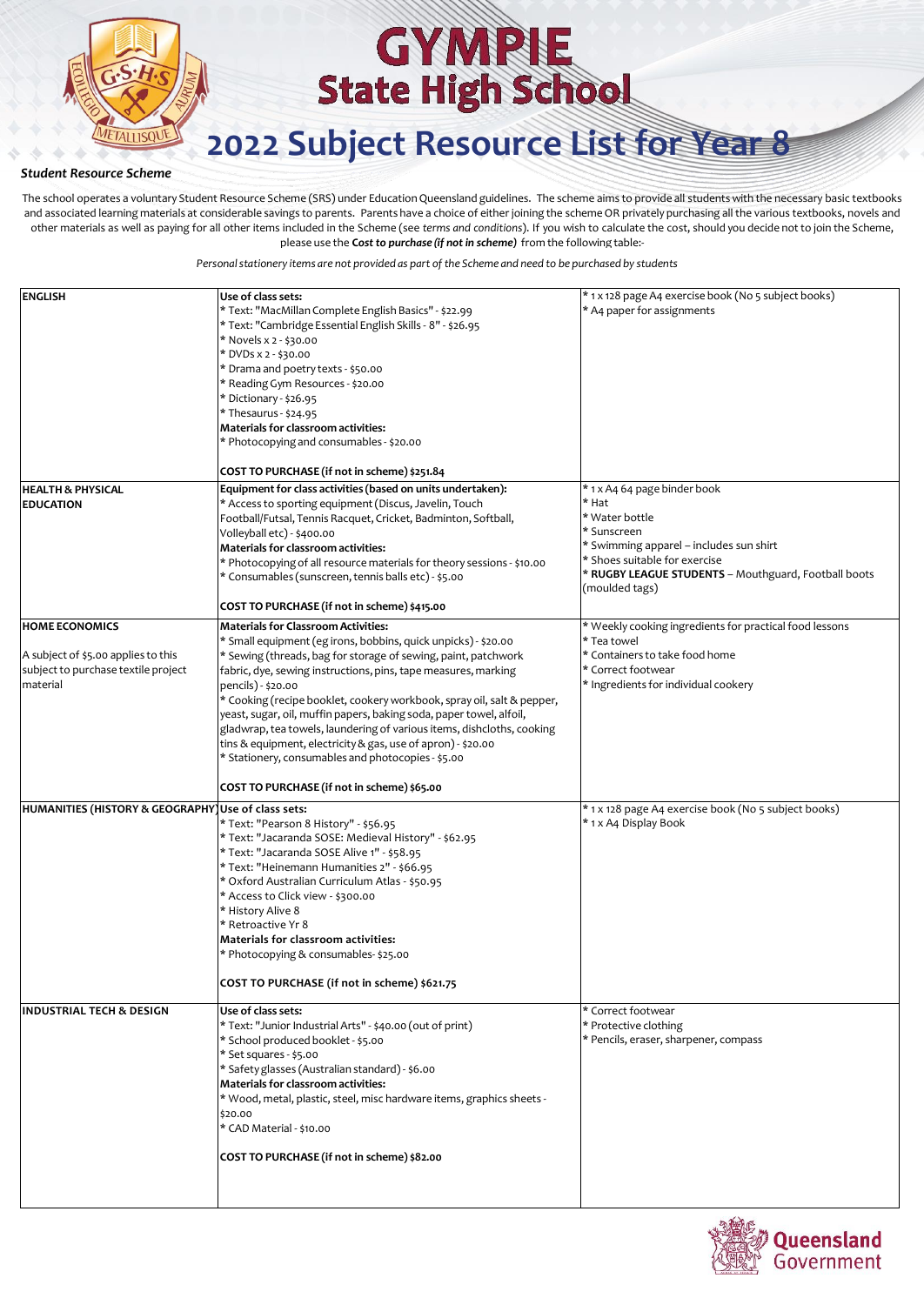

**2022 Subject Resource List for Year 8**

### *Student Resource Scheme*

The school operates a voluntary Student Resource Scheme (SRS) under Education Queensland guidelines. The scheme aims to provide all students with the necessary basic textbooks and associated learning materials at considerable savings to parents. Parents have a choice of either joining the scheme OR privately purchasing all the various textbooks, novels and other materials as well as paying for all other items included in the Scheme (see *terms and conditions*). If you wish to calculate the cost, should you decide not to join the Scheme, please use the **C***ost to purchase (if not in scheme)* from the following table:-

| <b>ENGLISH</b>                                                                                                  | Use of class sets:<br>* Text: "MacMillan Complete English Basics" - \$22.99<br>* Text: "Cambridge Essential English Skills - 8" - \$26.95<br>* Novels x 2 - \$30.00<br>* DVDs x 2 - \$30.00<br>* Drama and poetry texts - \$50.00<br>* Reading Gym Resources - \$20.00<br>* Dictionary - \$26.95<br>* Thesaurus - \$24.95<br>Materials for classroom activities:<br>* Photocopying and consumables - \$20.00<br>COST TO PURCHASE (if not in scheme) \$251.84                                                                                                                                                                                                           | * 1 x 128 page A4 exercise book (No 5 subject books)<br>* A4 paper for assignments                                                                                                                                           |
|-----------------------------------------------------------------------------------------------------------------|------------------------------------------------------------------------------------------------------------------------------------------------------------------------------------------------------------------------------------------------------------------------------------------------------------------------------------------------------------------------------------------------------------------------------------------------------------------------------------------------------------------------------------------------------------------------------------------------------------------------------------------------------------------------|------------------------------------------------------------------------------------------------------------------------------------------------------------------------------------------------------------------------------|
| <b>HEALTH &amp; PHYSICAL</b><br><b>EDUCATION</b>                                                                | Equipment for class activities (based on units undertaken):<br>* Access to sporting equipment (Discus, Javelin, Touch<br>Football/Futsal, Tennis Racquet, Cricket, Badminton, Softball,<br>Volleyball etc) - \$400.00<br>Materials for classroom activities:<br>* Photocopying of all resource materials for theory sessions - \$10.00<br>* Consumables (sunscreen, tennis balls etc) - \$5.00<br>COST TO PURCHASE (if not in scheme) \$415.00                                                                                                                                                                                                                         | * 1 x A4 64 page binder book<br>* Hat<br>* Water bottle<br>* Sunscreen<br>* Swimming apparel - includes sun shirt<br>* Shoes suitable for exercise<br>* RUGBY LEAGUE STUDENTS - Mouthguard, Football boots<br>(moulded tags) |
| <b>HOME ECONOMICS</b><br>A subject of \$5.00 applies to this<br>subject to purchase textile project<br>material | <b>Materials for Classroom Activities:</b><br>* Small equipment (eg irons, bobbins, quick unpicks) - \$20.00<br>* Sewing (threads, bag for storage of sewing, paint, patchwork<br>fabric, dye, sewing instructions, pins, tape measures, marking<br>pencils) - \$20.00<br>* Cooking (recipe booklet, cookery workbook, spray oil, salt & pepper,<br>yeast, sugar, oil, muffin papers, baking soda, paper towel, alfoil,<br>gladwrap, tea towels, laundering of various items, dishcloths, cooking<br>tins & equipment, electricity & gas, use of apron) - \$20.00<br>* Stationery, consumables and photocopies - \$5.00<br>COST TO PURCHASE (if not in scheme) \$65.00 | * Weekly cooking ingredients for practical food lessons<br>* Tea towel<br>* Containers to take food home<br>* Correct footwear<br>* Ingredients for individual cookery                                                       |
| HUMANITIES (HISTORY & GEOGRAPHY) Use of class sets:                                                             | * Text: "Pearson 8 History" - \$56.95<br>* Text: "Jacaranda SOSE: Medieval History" - \$62.95<br>* Text: "Jacaranda SOSE Alive 1" - \$58.95<br>* Text: "Heinemann Humanities 2" - \$66.95<br>* Oxford Australian Curriculum Atlas - \$50.95<br>* Access to Click view - \$300.00<br>* History Alive 8<br>* Retroactive Yr 8<br><b>Materials for classroom activities:</b><br>* Photocopying & consumables- \$25.00<br>COST TO PURCHASE (if not in scheme) \$621.75                                                                                                                                                                                                     | * 1 x 128 page A4 exercise book (No 5 subject books)<br>* 1 x A4 Display Book                                                                                                                                                |
| <b>INDUSTRIAL TECH &amp; DESIGN</b>                                                                             | Use of class sets:<br>* Text: "Junior Industrial Arts" - \$40.00 (out of print)<br>* School produced booklet - \$5.00<br>* Set squares - \$5.00<br>* Safety glasses (Australian standard) - \$6.00<br>Materials for classroom activities:<br>* Wood, metal, plastic, steel, misc hardware items, graphics sheets -<br>\$20.00<br>* CAD Material - \$10.00<br>COST TO PURCHASE (if not in scheme) \$82.00                                                                                                                                                                                                                                                               | * Correct footwear<br>* Protective clothing<br>* Pencils, eraser, sharpener, compass                                                                                                                                         |

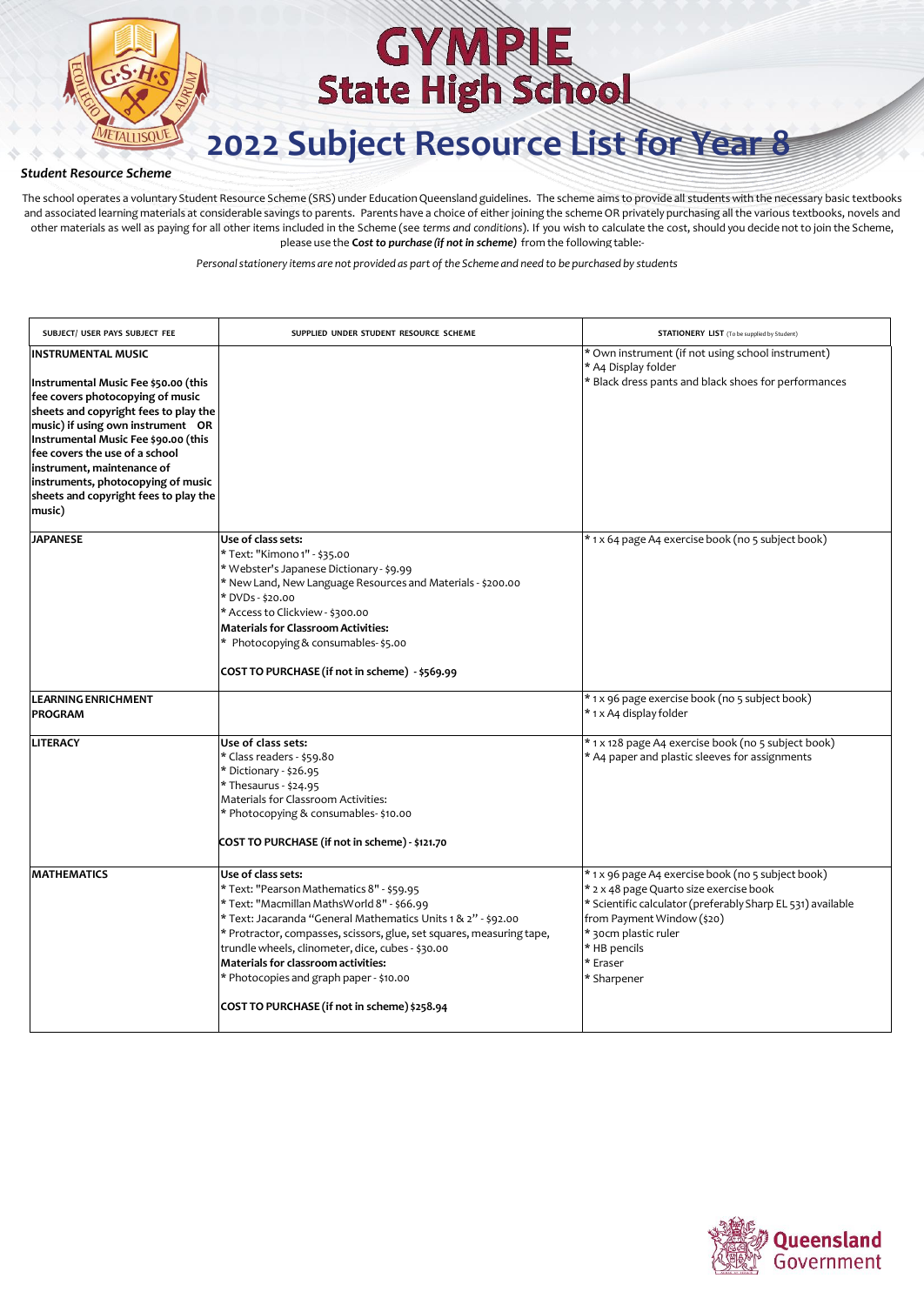

**2022 Subject Resource List for Year 8**

### *Student Resource Scheme*

The school operates a voluntary Student Resource Scheme (SRS) under Education Queensland guidelines. The scheme aims to provide all students with the necessary basic textbooks and associated learning materials at considerable savings to parents. Parents have a choice of either joining the scheme OR privately purchasing all the various textbooks, novels and other materials as well as paying for all other items included in the Scheme (see *terms and conditions*). If you wish to calculate the cost, should you decide not to join the Scheme, please use the **C***ost to purchase (if not in scheme)* from the following table:-

| SUBJECT/ USER PAYS SUBJECT FEE                                                                                                                                                                                                                                                                                                                                                       | SUPPLIED UNDER STUDENT RESOURCE SCHEME                                                                                                                                                                                                                                                                                                                                                                                                                | <b>STATIONERY LIST</b> (To be supplied by Student)                                                                                                                                                                                                            |
|--------------------------------------------------------------------------------------------------------------------------------------------------------------------------------------------------------------------------------------------------------------------------------------------------------------------------------------------------------------------------------------|-------------------------------------------------------------------------------------------------------------------------------------------------------------------------------------------------------------------------------------------------------------------------------------------------------------------------------------------------------------------------------------------------------------------------------------------------------|---------------------------------------------------------------------------------------------------------------------------------------------------------------------------------------------------------------------------------------------------------------|
| <b>INSTRUMENTAL MUSIC</b><br>Instrumental Music Fee \$50.00 (this<br>fee covers photocopying of music<br>sheets and copyright fees to play the<br>music) if using own instrument OR<br>Instrumental Music Fee \$90.00 (this<br>fee covers the use of a school<br>instrument, maintenance of<br>instruments, photocopying of music<br>sheets and copyright fees to play the<br>music) |                                                                                                                                                                                                                                                                                                                                                                                                                                                       | * Own instrument (if not using school instrument)<br>* A4 Display folder<br>* Black dress pants and black shoes for performances                                                                                                                              |
| <b>JAPANESE</b>                                                                                                                                                                                                                                                                                                                                                                      | Use of class sets:<br>* Text: "Kimono 1" - \$35.00<br>* Webster's Japanese Dictionary - \$9.99<br>* New Land, New Language Resources and Materials - \$200.00<br>* DVDs - \$20.00<br>* Access to Clickview - \$300.00<br><b>Materials for Classroom Activities:</b><br>* Photocopying & consumables-\$5.00<br>COST TO PURCHASE (if not in scheme) - \$569.99                                                                                          | * 1 x 64 page A4 exercise book (no 5 subject book)                                                                                                                                                                                                            |
| <b>LEARNING ENRICHMENT</b><br><b>PROGRAM</b>                                                                                                                                                                                                                                                                                                                                         |                                                                                                                                                                                                                                                                                                                                                                                                                                                       | * 1 x 96 page exercise book (no 5 subject book)<br>* 1 x A4 display folder                                                                                                                                                                                    |
| <b>LITERACY</b>                                                                                                                                                                                                                                                                                                                                                                      | Use of class sets:<br>* Class readers - \$59.80<br>* Dictionary - \$26.95<br>* Thesaurus - \$24.95<br>Materials for Classroom Activities:<br>* Photocopying & consumables- \$10.00<br>COST TO PURCHASE (if not in scheme) - \$121.70                                                                                                                                                                                                                  | * 1 x 128 page A4 exercise book (no 5 subject book)<br>* A4 paper and plastic sleeves for assignments                                                                                                                                                         |
| <b>MATHEMATICS</b>                                                                                                                                                                                                                                                                                                                                                                   | Use of class sets:<br>* Text: "Pearson Mathematics 8" - \$59.95<br>* Text: "Macmillan MathsWorld 8" - \$66.99<br>* Text: Jacaranda "General Mathematics Units 1 & 2" - \$92.00<br>* Protractor, compasses, scissors, glue, set squares, measuring tape,<br>trundle wheels, clinometer, dice, cubes - \$30.00<br><b>Materials for classroom activities:</b><br>* Photocopies and graph paper - \$10.00<br>COST TO PURCHASE (if not in scheme) \$258.94 | * 1 x 96 page A4 exercise book (no 5 subject book)<br>* 2 x 48 page Quarto size exercise book<br>* Scientific calculator (preferably Sharp EL 531) available<br>from Payment Window (\$20)<br>* 30cm plastic ruler<br>* HB pencils<br>* Eraser<br>* Sharpener |